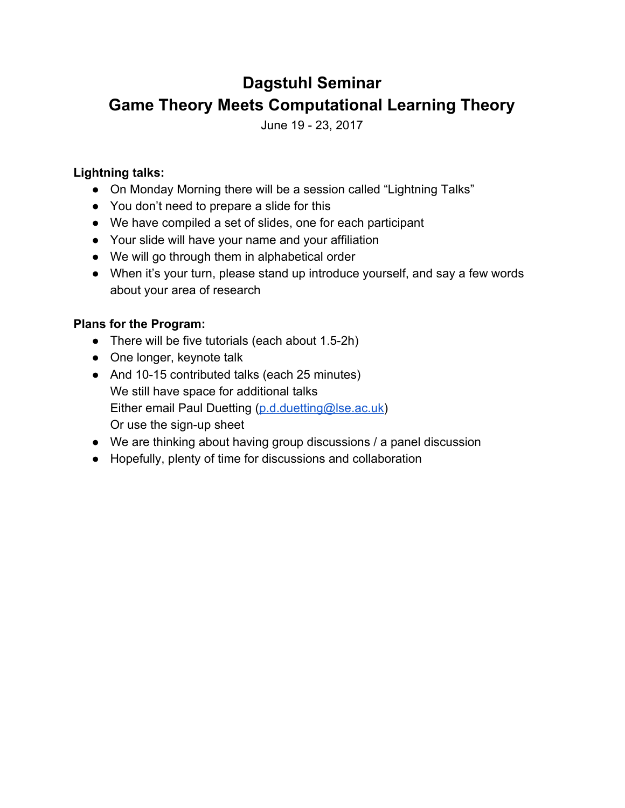# **Dagstuhl Seminar Game Theory Meets Computational Learning Theory**

June 19 - 23, 2017

#### **Lightning talks:**

- On Monday Morning there will be a session called "Lightning Talks"
- You don't need to prepare a slide for this
- We have compiled a set of slides, one for each participant
- Your slide will have your name and your affiliation
- We will go through them in alphabetical order
- When it's your turn, please stand up introduce yourself, and say a few words about your area of research

#### **Plans for the Program:**

- There will be five tutorials (each about 1.5-2h)
- One longer, keynote talk
- And 10-15 contributed talks (each 25 minutes) We still have space for additional talks Either email Paul Duetting ([p.d.duetting@lse.ac.uk](mailto:p.d.duetting@lse.ac.uk)) Or use the sign-up sheet
- We are thinking about having group discussions / a panel discussion
- Hopefully, plenty of time for discussions and collaboration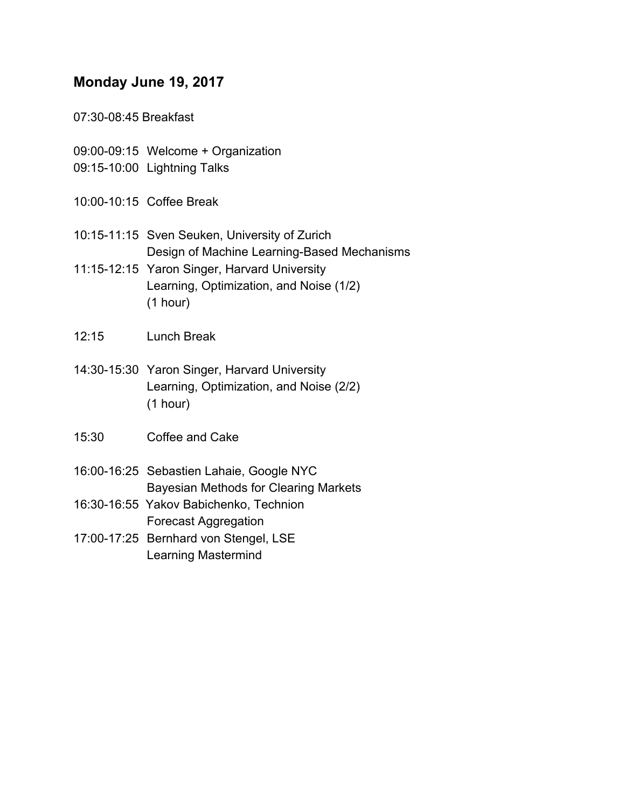#### **Monday June 19, 2017**

07:30-08:45 Breakfast

- 09:00-09:15 Welcome + Organization
- 09:15-10:00 Lightning Talks
- 10:00-10:15 Coffee Break
- 10:15-11:15 Sven Seuken, University of Zurich Design of Machine Learning-Based Mechanisms
- 11:15-12:15 Yaron Singer, Harvard University Learning, Optimization, and Noise (1/2) (1 hour)
- 12:15 Lunch Break
- 14:30-15:30 Yaron Singer, Harvard University Learning, Optimization, and Noise (2/2) (1 hour)
- 15:30 Coffee and Cake
- 16:00-16:25 Sebastien Lahaie, Google NYC Bayesian Methods for Clearing Markets
- 16:30-16:55 Yakov Babichenko, Technion Forecast Aggregation
- 17:00-17:25 Bernhard von Stengel, LSE Learning Mastermind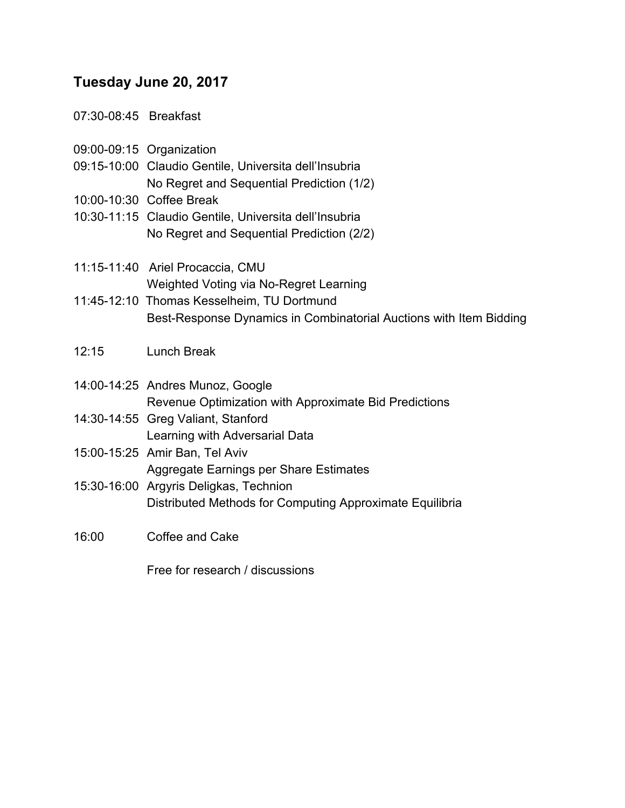#### **Tuesday June 20, 2017**

07:30-08:45 Breakfast

- 09:00-09:15 Organization
- 09:15-10:00 Claudio Gentile, Universita dell'Insubria No Regret and Sequential Prediction (1/2)
- 10:00-10:30 Coffee Break
- 10:30-11:15 Claudio Gentile, Universita dell'Insubria No Regret and Sequential Prediction (2/2)
- 11:15-11:40 Ariel Procaccia, CMU Weighted Voting via No-Regret Learning
- 11:45-12:10 Thomas Kesselheim, TU Dortmund Best-Response Dynamics in Combinatorial Auctions with Item Bidding
- 12:15 Lunch Break
- 14:00-14:25 Andres Munoz, Google Revenue Optimization with Approximate Bid Predictions
- 14:30-14:55 Greg Valiant, Stanford Learning with Adversarial Data
- 15:00-15:25 Amir Ban, Tel Aviv Aggregate Earnings per Share Estimates
- 15:30-16:00 Argyris Deligkas, Technion Distributed Methods for Computing Approximate Equilibria
- 16:00 Coffee and Cake

Free for research / discussions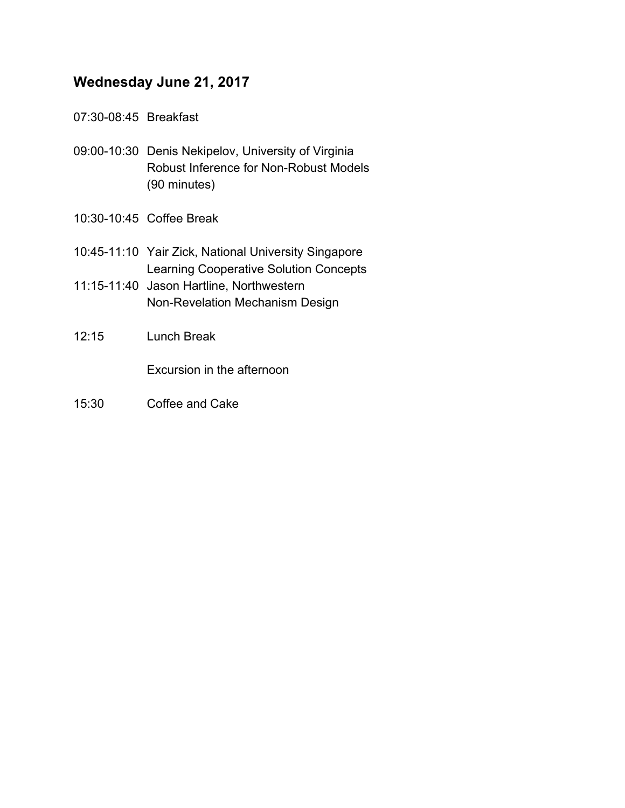## **Wednesday June 21, 2017**

- 07:30-08:45 Breakfast
- 09:00-10:30 Denis Nekipelov, University of Virginia Robust Inference for Non-Robust Models (90 minutes)
- 10:30-10:45 Coffee Break
- 10:45-11:10 Yair Zick, National University Singapore Learning Cooperative Solution Concepts
- 11:15-11:40 Jason Hartline, Northwestern Non-Revelation Mechanism Design
- 12:15 Lunch Break

Excursion in the afternoon

15:30 Coffee and Cake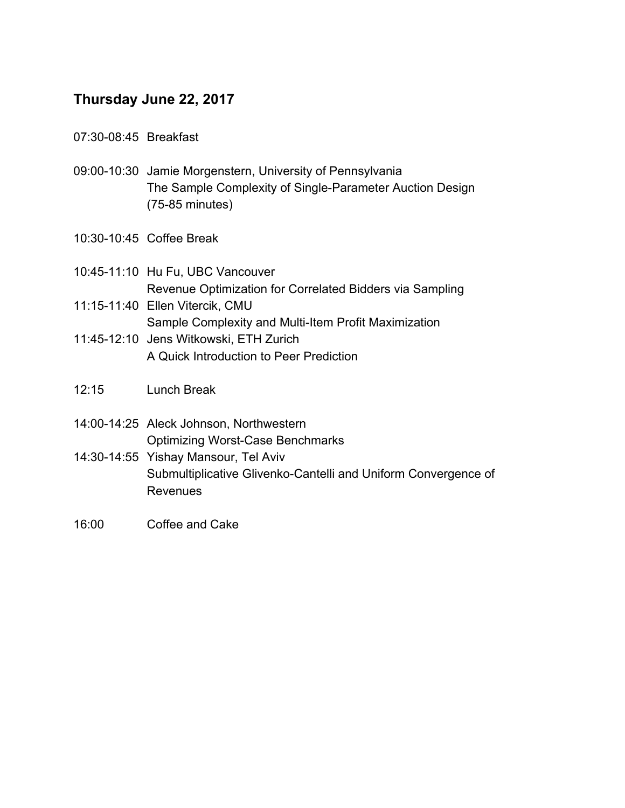## **Thursday June 22, 2017**

- 07:30-08:45 Breakfast
- 09:00-10:30 Jamie Morgenstern, University of Pennsylvania The Sample Complexity of Single-Parameter Auction Design (75-85 minutes)
- 10:30-10:45 Coffee Break
- 10:45-11:10 Hu Fu, UBC Vancouver Revenue Optimization for Correlated Bidders via Sampling
- 11:15-11:40 Ellen Vitercik, CMU Sample Complexity and Multi-Item Profit Maximization
- 11:45-12:10 Jens Witkowski, ETH Zurich A Quick Introduction to Peer Prediction
- 12:15 Lunch Break
- 14:00-14:25 Aleck Johnson, Northwestern Optimizing Worst-Case Benchmarks
- 14:30-14:55 Yishay Mansour, Tel Aviv Submultiplicative Glivenko-Cantelli and Uniform Convergence of Revenues
- 16:00 Coffee and Cake